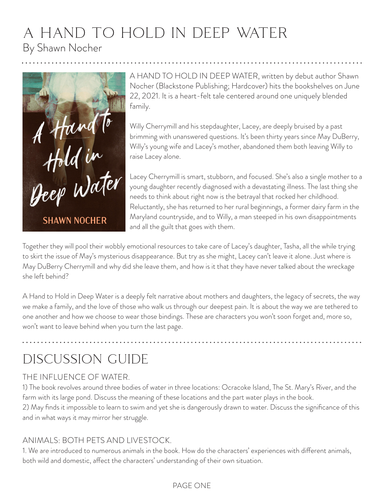## a hand to hold in deep water By Shawn Nocher



A HAND TO HOLD IN DEEP WATER, written by debut author Shawn Nocher (Blackstone Publishing; Hardcover) hits the bookshelves on June 22, 2021. It is a heart-felt tale centered around one uniquely blended family.

Willy Cherrymill and his stepdaughter, Lacey, are deeply bruised by a past brimming with unanswered questions. It's been thirty years since May DuBerry, Willy's young wife and Lacey's mother, abandoned them both leaving Willy to raise Lacey alone.

Lacey Cherrymill is smart, stubborn, and focused. She's also a single mother to a young daughter recently diagnosed with a devastating illness. The last thing she needs to think about right now is the betrayal that rocked her childhood. Reluctantly, she has returned to her rural beginnings, a former dairy farm in the Maryland countryside, and to Willy, a man steeped in his own disappointments and all the guilt that goes with them.

Together they will pool their wobbly emotional resources to take care of Lacey's daughter, Tasha, all the while trying to skirt the issue of May's mysterious disappearance. But try as she might, Lacey can't leave it alone. Just where is May DuBerry Cherrymill and why did she leave them, and how is it that they have never talked about the wreckage she left behind?

A Hand to Hold in Deep Water is a deeply felt narrative about mothers and daughters, the legacy of secrets, the way we make a family, and the love of those who walk us through our deepest pain. It is about the way we are tethered to one another and how we choose to wear those bindings. These are characters you won't soon forget and, more so, won't want to leave behind when you turn the last page.

# discussion guide

#### THE INFLUENCE OF WATER.

1) The book revolves around three bodies of water in three locations: Ocracoke Island, The St. Mary's River, and the farm with its large pond. Discuss the meaning of these locations and the part water plays in the book.

2) May finds it impossible to learn to swim and yet she is dangerously drawn to water. Discuss the significance of this and in what ways it may mirror her struggle.

#### ANIMALS: BOTH PETS AND LIVESTOCK.

1. We are introduced to numerous animals in the book. How do the characters' experiences with different animals, both wild and domestic, affect the characters' understanding of their own situation.

#### PAGE ONE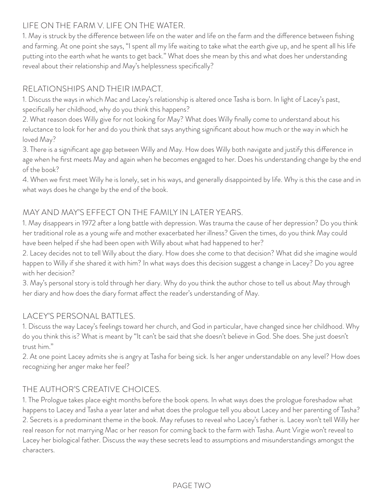#### LIFE ON THE FARM V. LIFE ON THE WATER.

1. May is struck by the difference between life on the water and life on the farm and the difference between fishing and farming. At one point she says, "I spent all my life waiting to take what the earth give up, and he spent all his life putting into the earth what he wants to get back." What does she mean by this and what does her understanding reveal about their relationship and May's helplessness specifically?

#### RELATIONSHIPS AND THEIR IMPACT.

1. Discuss the ways in which Mac and Lacey's relationship is altered once Tasha is born. In light of Lacey's past, specifically her childhood, why do you think this happens?

2. What reason does Willy give for not looking for May? What does Willy finally come to understand about his reluctance to look for her and do you think that says anything significant about how much or the way in which he loved May?

3. There is a significant age gap between Willy and May. How does Willy both navigate and justify this difference in age when he first meets May and again when he becomes engaged to her. Does his understanding change by the end of the book?

4. When we first meet Willy he is lonely, set in his ways, and generally disappointed by life. Why is this the case and in what ways does he change by the end of the book.

### MAY AND MAY'S EFFECT ON THE FAMILY IN LATER YEARS.

1. May disappears in 1972 after a long battle with depression. Was trauma the cause of her depression? Do you think her traditional role as a young wife and mother exacerbated her illness? Given the times, do you think May could have been helped if she had been open with Willy about what had happened to her?

2. Lacey decides not to tell Willy about the diary. How does she come to that decision? What did she imagine would happen to Willy if she shared it with him? In what ways does this decision suggest a change in Lacey? Do you agree with her decision?

3. May's personal story is told through her diary. Why do you think the author chose to tell us about May through her diary and how does the diary format affect the reader's understanding of May.

#### LACEY'S PERSONAL BATTLES.

1. Discuss the way Lacey's feelings toward her church, and God in particular, have changed since her childhood. Why do you think this is? What is meant by "It can't be said that she doesn't believe in God. She does. She just doesn't trust him."

2. At one point Lacey admits she is angry at Tasha for being sick. Is her anger understandable on any level? How does recognizing her anger make her feel?

### THE AUTHOR'S CREATIVE CHOICES.

1. The Prologue takes place eight months before the book opens. In what ways does the prologue foreshadow what happens to Lacey and Tasha a year later and what does the prologue tell you about Lacey and her parenting of Tasha? 2. Secrets is a predominant theme in the book. May refuses to reveal who Lacey's father is. Lacey won't tell Willy her real reason for not marrying Mac or her reason for coming back to the farm with Tasha. Aunt Virgie won't reveal to Lacey her biological father. Discuss the way these secrets lead to assumptions and misunderstandings amongst the characters.